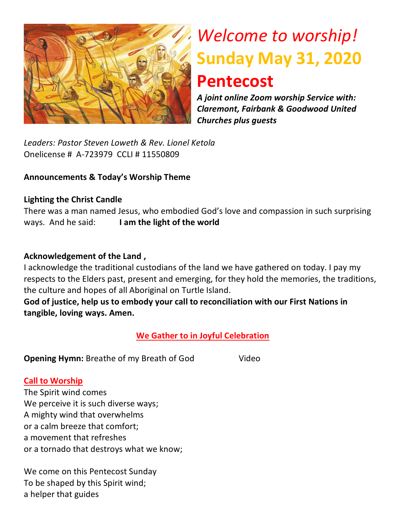

# *Welcome to worship!* **Sunday May 31, 2020 Pentecost**

*A joint online Zoom worship Service with: Claremont, Fairbank & Goodwood United Churches plus guests*

*Leaders: Pastor Steven Loweth & Rev. Lionel Ketola* Onelicense # A-723979 CCLI # 11550809

#### **Announcements & Today's Worship Theme**

#### **Lighting the Christ Candle**

There was a man named Jesus, who embodied God's love and compassion in such surprising ways. And he said: **I am the light of the world** 

#### **Acknowledgement of the Land ,**

I acknowledge the traditional custodians of the land we have gathered on today. I pay my respects to the Elders past, present and emerging, for they hold the memories, the traditions, the culture and hopes of all Aboriginal on Turtle Island.

**God of justice, help us to embody your call to reconciliation with our First Nations in tangible, loving ways. Amen.** 

**We Gather to in Joyful Celebration**

**Opening Hymn:** Breathe of my Breath of God Video

#### **Call to Worship**

The Spirit wind comes We perceive it is such diverse ways; A mighty wind that overwhelms or a calm breeze that comfort; a movement that refreshes or a tornado that destroys what we know;

We come on this Pentecost Sunday To be shaped by this Spirit wind; a helper that guides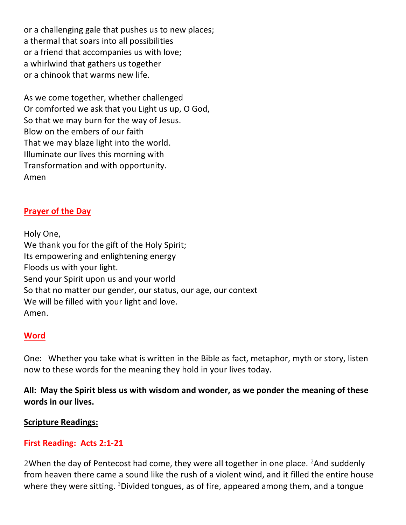or a challenging gale that pushes us to new places; a thermal that soars into all possibilities or a friend that accompanies us with love; a whirlwind that gathers us together or a chinook that warms new life.

As we come together, whether challenged Or comforted we ask that you Light us up, O God, So that we may burn for the way of Jesus. Blow on the embers of our faith That we may blaze light into the world. Illuminate our lives this morning with Transformation and with opportunity. Amen

#### **[Prayer of the Day](http://lectionaryliturgies.blogspot.com/2008/04/ascension.html)**

Holy One, We thank you for the gift of the Holy Spirit; Its empowering and enlightening energy Floods us with your light. Send your Spirit upon us and your world So that no matter our gender, our status, our age, our context We will be filled with your light and love. Amen.

#### **Word**

One: Whether you take what is written in the Bible as fact, metaphor, myth or story, listen now to these words for the meaning they hold in your lives today.

**All: May the Spirit bless us with wisdom and wonder, as we ponder the meaning of these words in our lives.**

#### **Scripture Readings:**

#### **First Reading: Acts 2:1-21**

2When the day of Pentecost had come, they were all together in one place.  $2$ And suddenly from heaven there came a sound like the rush of a violent wind, and it filled the entire house where they were sitting.  $3$ Divided tongues, as of fire, appeared among them, and a tongue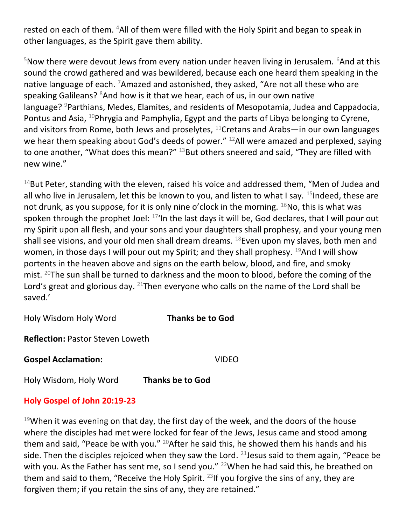rested on each of them. <sup>4</sup>All of them were filled with the Holy Spirit and began to speak in other languages, as the Spirit gave them ability.

 $5$ Now there were devout Jews from every nation under heaven living in Jerusalem.  $6$ And at this sound the crowd gathered and was bewildered, because each one heard them speaking in the native language of each. <sup>7</sup>Amazed and astonished, they asked, "Are not all these who are speaking Galileans?  $8$ And how is it that we hear, each of us, in our own native language? <sup>9</sup>Parthians, Medes, Elamites, and residents of Mesopotamia, Judea and Cappadocia, Pontus and Asia, <sup>10</sup>Phrygia and Pamphylia, Egypt and the parts of Libya belonging to Cyrene, and visitors from Rome, both Jews and proselytes, <sup>11</sup>Cretans and Arabs—in our own languages we hear them speaking about God's deeds of power." <sup>12</sup>All were amazed and perplexed, saying to one another, "What does this mean?" <sup>13</sup>But others sneered and said, "They are filled with new wine."

 $14$ But Peter, standing with the eleven, raised his voice and addressed them, "Men of Judea and all who live in Jerusalem, let this be known to you, and listen to what I say.  $15$ Indeed, these are not drunk, as you suppose, for it is only nine o'clock in the morning.  $^{16}$ No, this is what was spoken through the prophet Joel:  $17'$ In the last days it will be, God declares, that I will pour out my Spirit upon all flesh, and your sons and your daughters shall prophesy, and your young men shall see visions, and your old men shall dream dreams.  $^{18}$ Even upon my slaves, both men and women, in those days I will pour out my Spirit; and they shall prophesy.  $^{19}$ And I will show portents in the heaven above and signs on the earth below, blood, and fire, and smoky mist.  $20$ The sun shall be turned to darkness and the moon to blood, before the coming of the Lord's great and glorious day.  $21$ Then everyone who calls on the name of the Lord shall be saved.'

Holy Wisdom Holy Word **Thanks be to God**

**Reflection:** Pastor Steven Loweth

**Gospel Acclamation:** VIDEO

Holy Wisdom, Holy Word **Thanks be to God** 

#### **Holy Gospel of John 20:19-23**

 $19$ When it was evening on that day, the first day of the week, and the doors of the house where the disciples had met were locked for fear of the Jews, Jesus came and stood among them and said, "Peace be with you." <sup>20</sup>After he said this, he showed them his hands and his side. Then the disciples rejoiced when they saw the Lord.  $21$  Jesus said to them again, "Peace be with you. As the Father has sent me, so I send you."  $^{22}$ When he had said this, he breathed on them and said to them, "Receive the Holy Spirit.  $^{23}$  If you forgive the sins of any, they are forgiven them; if you retain the sins of any, they are retained."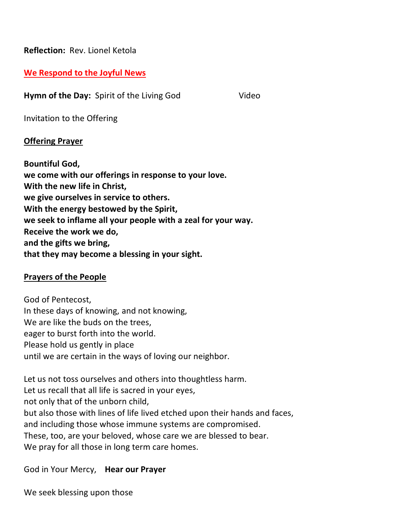**Reflection:** Rev. Lionel Ketola

#### **We Respond to the Joyful News**

**Hymn of the Day:** Spirit of the Living God Video

Invitation to the Offering

#### **Offering Prayer**

**Bountiful God, we come with our offerings in response to your love. With the new life in Christ, we give ourselves in service to others. With the energy bestowed by the Spirit, we seek to inflame all your people with a zeal for your way. Receive the work we do, and the gifts we bring, that they may become a blessing in your sight.**

#### **Prayers of the People**

God of Pentecost, In these days of knowing, and not knowing, We are like the buds on the trees, eager to burst forth into the world. Please hold us gently in place until we are certain in the ways of loving our neighbor.

Let us not toss ourselves and others into thoughtless harm. Let us recall that all life is sacred in your eyes, not only that of the unborn child, but also those with lines of life lived etched upon their hands and faces, and including those whose immune systems are compromised. These, too, are your beloved, whose care we are blessed to bear. We pray for all those in long term care homes.

#### God in Your Mercy, **Hear our Prayer**

We seek blessing upon those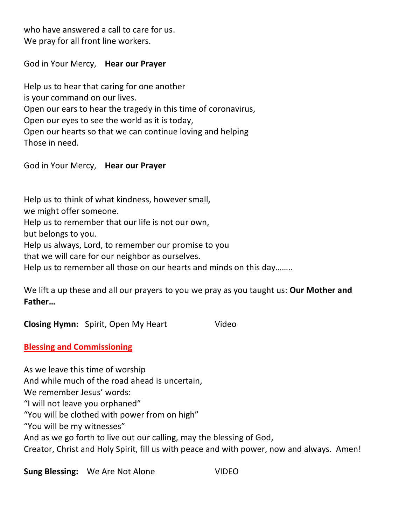who have answered a call to care for us. We pray for all front line workers.

God in Your Mercy, **Hear our Prayer**

Help us to hear that caring for one another is your command on our lives. Open our ears to hear the tragedy in this time of coronavirus, Open our eyes to see the world as it is today, Open our hearts so that we can continue loving and helping Those in need.

God in Your Mercy, **Hear our Prayer**

Help us to think of what kindness, however small, we might offer someone. Help us to remember that our life is not our own, but belongs to you. Help us always, Lord, to remember our promise to you that we will care for our neighbor as ourselves. Help us to remember all those on our hearts and minds on this day……..

We lift a up these and all our prayers to you we pray as you taught us: **Our Mother and Father…**

**Closing Hymn:** Spirit, Open My Heart Video

#### **Blessing and Commissioning**

As we leave this time of worship And while much of the road ahead is uncertain, We remember Jesus' words: "I will not leave you orphaned" "You will be clothed with power from on high" "You will be my witnesses" And as we go forth to live out our calling, may the blessing of God, Creator, Christ and Holy Spirit, fill us with peace and with power, now and always. Amen!

**Sung Blessing:** We Are Not Alone **VIDEO**